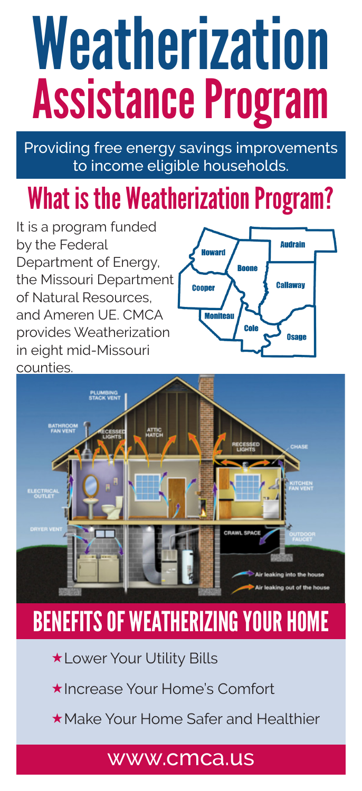# Weatherization Assistance Program

Providing free energy savings improvements to income eligible households.

# What is the Weatherization Program?

It is a program funded by the Federal Department of Energy, the Missouri Department of Natural Resources, and Ameren UE. CMCA provides Weatherization in eight mid-Missouri counties.





# BENEFITS OF WEATHERIZING YOUR HOME

- \*Lower Your Utility Bills
- Increase Your Home's Comfort
- Make Your Home Safer and Healthier

### www.cmca.us